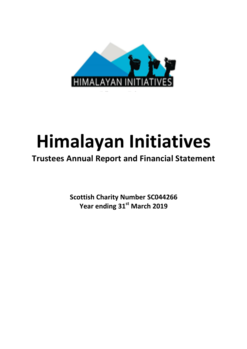

# **Himalayan Initiatives**

## **Trustees Annual Report and Financial Statement**

**Scottish Charity Number SC044266** Year ending 31<sup>st</sup> March 2019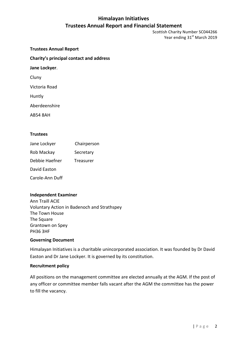Scottish Charity Number SC044266 Year ending 31<sup>st</sup> March 2019

**Trustees Annual Report Charity's principal contact and address Jane Lockyer.** Cluny Victoria Road Huntly Aberdeenshire

AB54 8AH

#### **Trustees**

Jane Lockyer Chairperson Rob Mackay **Secretary** Debbie Haefner Treasurer David Easton Carole-Ann Duff

#### **Independent Examiner**

Ann Traill ACIE Voluntary Action in Badenoch and Strathspey The Town House The Square Grantown on Spey PH36 3HF

#### **Governing Document**

Himalayan Initiatives is a charitable unincorporated association. It was founded by Dr David Easton and Dr Jane Lockyer. It is governed by its constitution.

#### **Recruitment policy**

All positions on the management committee are elected annually at the AGM. If the post of any officer or committee member falls vacant after the AGM the committee has the power to fill the vacancy.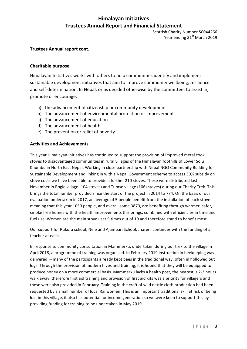Scottish Charity Number SC044266 Year ending 31<sup>st</sup> March 2019

#### **Trustees Annual report cont.**

#### **Charitable purpose**

Himalayan Initiatives works with others to help communities identify and implement sustainable development initiatives that aim to improve community wellbeing, resilience and self-determination. In Nepal, or as decided otherwise by the committee, to assist in, promote or encourage:

- a) the advancement of citizenship or community development
- b) The advancement of environmental protection or improvement
- c) The advancement of education
- d) The advancement of health
- e) The prevention or relief of poverty

#### **Activities and Achievements**

This year Himalayan Initiatives has continued to support the provision of improved metal cook stoves to disadvantaged communities in rural villages of the Himalayan foothills of Lower Solu Khumbu in North East Nepal. Working in close partnership with Nepal NGO Community Building for Sustainable Development and linking in with a Nepal Government scheme to access 30% subsidy on stove costs we have been able to provide a further 210 stoves. These were distributed last November in Bogle village (104 stoves) and Tumse village (106) stoves) during our Charity Trek. This brings the total number provided since the start of the project in 2014 to 774. On the basis of our evaluation undertaken in 2017, an average of 5 people benefit from the installation of each stove meaning that this year 1050 people, and overall some 3870, are benefiting through warmer, safer, smoke free homes with the health improvements this brings, combined with efficiencies in time and fuel use. Women are the main stove user 9 times out of 10 and therefore stand to benefit most.

Our support for Rukura school, Nele and Ajambari School, Jhareni continues with the funding of a teacher at each.

In response to community consultation in Mammerku, undertaken during our trek to the village in April 2018, a programme of training was organised. In February 2019 instruction in beekeeping was delivered  $-$  many of the participants already kept bees in the traditional way, often in hollowed out logs. Through the provision of modern hives and training, it is hoped that they will be equipped to produce honey on a more commercial basis. Mammerku lacks a health post, the nearest is 2-3 hours walk away, therefore first aid training and provision of first aid kits was a priority for villagers and these were also provided in February. Training in the craft of wild nettle cloth production had been requested by a small number of local Rai women. This is an important traditional skill at risk of being lost in this village, it also has potential for income generation so we were keen to support this by providing funding for training to be undertaken in May 2019.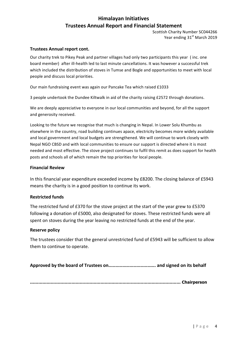Scottish Charity Number SC044266 Year ending 31<sup>st</sup> March 2019

#### **Trustees Annual report cont.**

Our charity trek to Pikey Peak and partner villages had only two participants this year (inc. one board member) after ill-health led to last minute cancellations. It was however a successful trek which included the distribution of stoves in Tumse and Bogle and opportunities to meet with local people and discuss local priorities.

Our main fundraising event was again our Pancake Tea which raised £1033

3 people undertook the Dundee Kiltwalk in aid of the charity raising £2572 through donations.

We are deeply appreciative to everyone in our local communities and beyond, for all the support and generosity received.

Looking to the future we recognise that much is changing in Nepal. In Lower Solu Khumbu as elsewhere in the country, road building continues apace, electricity becomes more widely available and local government and local budgets are strengthened. We will continue to work closely with Nepal NGO CBSD and with local communities to ensure our support is directed where it is most needed and most effective. The stove project continues to fulfil this remit as does support for health posts and schools all of which remain the top priorities for local people.

#### **Financial Review**

In this financial year expenditure exceeded income by £8200. The closing balance of £5943 means the charity is in a good position to continue its work.

#### **Restricted funds**

The restricted fund of  $£370$  for the stove project at the start of the year grew to  $£5370$ following a donation of £5000, also designated for stoves. These restricted funds were all spent on stoves during the year leaving no restricted funds at the end of the year.

#### **Reserve policy**

The trustees consider that the general unrestricted fund of £5943 will be sufficient to allow them to continue to operate.

Approved by the board of Trustees on……………………………………………… and signed on its behalf

**…………………………………………………….………………………………………… Chairperson**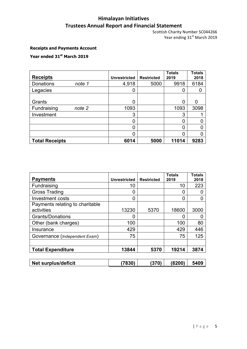Scottish Charity Number SC044266 Year ending 31<sup>st</sup> March 2019

### **Receipts and Payments Account**

## **Year ended 31st March 2019**

| <b>Receipts</b>       | <b>Unrestricted</b> | <b>Restricted</b> | <b>Totals</b><br>2019 | <b>Totals</b><br>2018 |
|-----------------------|---------------------|-------------------|-----------------------|-----------------------|
| Donations<br>note 1   | 4,918               | 5000              | 9918                  | 6184                  |
| Legacies              | 0                   |                   |                       | 0                     |
|                       |                     |                   |                       |                       |
| Grants                | 0                   |                   | O                     | 0                     |
| Fundraising<br>note 2 | 1093                |                   | 1093                  | 3098                  |
| Investment            | 3                   |                   | 3                     |                       |
|                       | 0                   |                   |                       |                       |
|                       | 0                   |                   | ი                     |                       |
|                       | 0                   |                   |                       |                       |
| <b>Total Receipts</b> | 6014                | 5000              | 11014                 | 9283                  |

| <b>Payments</b>                 | <b>Unrestricted</b> | <b>Restricted</b> | <b>Totals</b><br>2019 | <b>Totals</b><br>2018 |
|---------------------------------|---------------------|-------------------|-----------------------|-----------------------|
| Fundraising                     | 10                  |                   | 10                    | 223                   |
| <b>Gross Trading</b>            | 0                   |                   | 0                     |                       |
| <b>Investment costs</b>         | 0                   |                   | 0                     | 0                     |
| Payments relating to charitable |                     |                   |                       |                       |
| activities                      | 13230               | 5370              | 18600                 | 3000                  |
| <b>Grants/Donations</b>         | 0                   |                   |                       |                       |
| Other (bank charges)            | 100                 |                   | 100                   | 80                    |
| Insurance                       | 429                 |                   | 429                   | 446                   |
| Governance (Independent Exam)   | 75                  |                   | 75                    | 125                   |
|                                 |                     |                   |                       |                       |
| <b>Total Expenditure</b>        | 13844               | 5370              | 19214                 | 3874                  |
|                                 |                     |                   |                       |                       |
| <b>Net surplus/deficit</b>      | (7830)              | (370)             | (8200)                | 5409                  |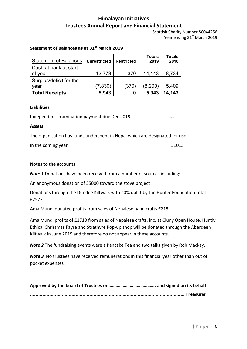Scottish Charity Number SC044266 Year ending 31<sup>st</sup> March 2019

#### **Statement of Balances as at 31st March 2019**

| <b>Statement of Balances</b> |                     |                   | <b>Totals</b> | <b>Totals</b> |
|------------------------------|---------------------|-------------------|---------------|---------------|
|                              | <b>Unrestricted</b> | <b>Restricted</b> | 2019          | 2018          |
| Cash at bank at start        |                     |                   |               |               |
| of year                      | 13,773              | 370               | 14,143        | 8,734         |
| Surplus/deficit for the      |                     |                   |               |               |
| year                         | (7,830)             | (370)             | (8, 200)      | 5,409         |
| <b>Total Receipts</b>        | 5,943               | 0                 | 5,943         | 14,143        |

#### **Liabilities**

Independent examination payment due Dec 2019 ……..

#### **Assets**

The organisation has funds underspent in Nepal which are designated for use

in the coming year £1015

#### **Notes to the accounts**

*Note 1* Donations have been received from a number of sources including:

An anonymous donation of £5000 toward the stove project

Donations through the Dundee Kiltwalk with 40% uplift by the Hunter Foundation total £2572

Ama Mundi donated profits from sales of Nepalese handicrafts £215

Ama Mundi profits of £1710 from sales of Nepalese crafts, inc. at Cluny Open House, Huntly Ethical Christmas Fayre and Strathyre Pop-up shop will be donated through the Aberdeen Kiltwalk in June 2019 and therefore do not appear in these accounts.

**Note 2** The fundraising events were a Pancake Tea and two talks given by Rob Mackay.

*Note 3* No trustees have received remunerations in this financial year other than out of pocket expenses.